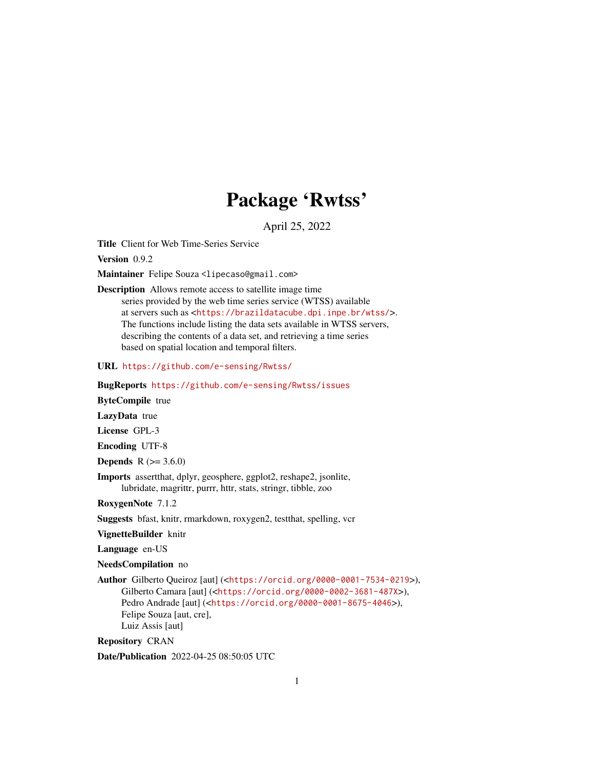# Package 'Rwtss'

April 25, 2022

Title Client for Web Time-Series Service

Version 0.9.2

Maintainer Felipe Souza <lipecaso@gmail.com>

Description Allows remote access to satellite image time

series provided by the web time series service (WTSS) available at servers such as <<https://brazildatacube.dpi.inpe.br/wtss/>>. The functions include listing the data sets available in WTSS servers, describing the contents of a data set, and retrieving a time series based on spatial location and temporal filters.

URL <https://github.com/e-sensing/Rwtss/>

BugReports <https://github.com/e-sensing/Rwtss/issues>

ByteCompile true

LazyData true

License GPL-3

Encoding UTF-8

**Depends** R  $(>= 3.6.0)$ 

Imports assertthat, dplyr, geosphere, ggplot2, reshape2, jsonlite, lubridate, magrittr, purrr, httr, stats, stringr, tibble, zoo

RoxygenNote 7.1.2

Suggests bfast, knitr, rmarkdown, roxygen2, testthat, spelling, vcr

VignetteBuilder knitr

Language en-US

NeedsCompilation no

Author Gilberto Queiroz [aut] (<<https://orcid.org/0000-0001-7534-0219>>), Gilberto Camara [aut] (<<https://orcid.org/0000-0002-3681-487X>>), Pedro Andrade [aut] (<<https://orcid.org/0000-0001-8675-4046>>), Felipe Souza [aut, cre], Luiz Assis [aut]

Repository CRAN

Date/Publication 2022-04-25 08:50:05 UTC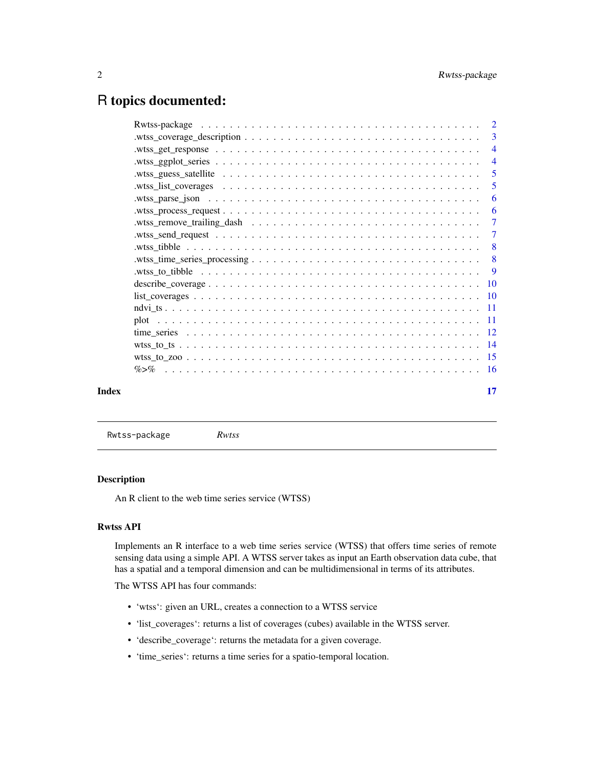# <span id="page-1-0"></span>R topics documented:

|       | $w$ ts guess_satellite $\ldots \ldots \ldots \ldots \ldots \ldots \ldots \ldots \ldots \ldots \ldots \ldots$            | - 5                       |
|-------|-------------------------------------------------------------------------------------------------------------------------|---------------------------|
|       |                                                                                                                         |                           |
|       |                                                                                                                         | -6                        |
|       |                                                                                                                         | -6                        |
|       | .wtss_remove_trailing_dash $\ldots \ldots \ldots \ldots \ldots \ldots \ldots \ldots \ldots \ldots \ldots \ldots \ldots$ |                           |
|       |                                                                                                                         |                           |
|       |                                                                                                                         | $\overline{\phantom{0}}8$ |
|       |                                                                                                                         |                           |
|       |                                                                                                                         |                           |
|       |                                                                                                                         |                           |
|       |                                                                                                                         |                           |
|       |                                                                                                                         |                           |
|       |                                                                                                                         |                           |
|       |                                                                                                                         |                           |
|       |                                                                                                                         |                           |
|       |                                                                                                                         |                           |
|       |                                                                                                                         |                           |
| Index |                                                                                                                         | 17                        |
|       |                                                                                                                         |                           |

Rwtss-package *Rwtss*

#### Description

An R client to the web time series service (WTSS)

#### Rwtss API

Implements an R interface to a web time series service (WTSS) that offers time series of remote sensing data using a simple API. A WTSS server takes as input an Earth observation data cube, that has a spatial and a temporal dimension and can be multidimensional in terms of its attributes.

The WTSS API has four commands:

- 'wtss': given an URL, creates a connection to a WTSS service
- 'list\_coverages': returns a list of coverages (cubes) available in the WTSS server.
- 'describe\_coverage': returns the metadata for a given coverage.
- 'time\_series': returns a time series for a spatio-temporal location.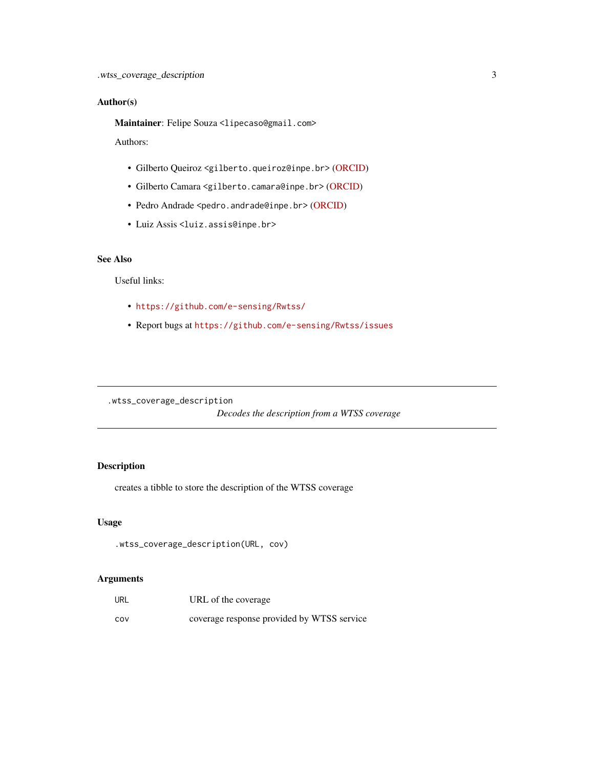#### <span id="page-2-0"></span>Author(s)

Maintainer: Felipe Souza <lipecaso@gmail.com>

Authors:

- Gilberto Queiroz <gilberto.queiroz@inpe.br> [\(ORCID\)](https://orcid.org/0000-0001-7534-0219)
- Gilberto Camara <gilberto.camara@inpe.br> [\(ORCID\)](https://orcid.org/0000-0002-3681-487X)
- Pedro Andrade <pedro.andrade@inpe.br> [\(ORCID\)](https://orcid.org/0000-0001-8675-4046)
- Luiz Assis <luiz.assis@inpe.br>

#### See Also

Useful links:

- <https://github.com/e-sensing/Rwtss/>
- Report bugs at <https://github.com/e-sensing/Rwtss/issues>

.wtss\_coverage\_description

*Decodes the description from a WTSS coverage*

#### Description

creates a tibble to store the description of the WTSS coverage

#### Usage

.wtss\_coverage\_description(URL, cov)

#### Arguments

| URL | URL of the coverage                        |
|-----|--------------------------------------------|
| cov | coverage response provided by WTSS service |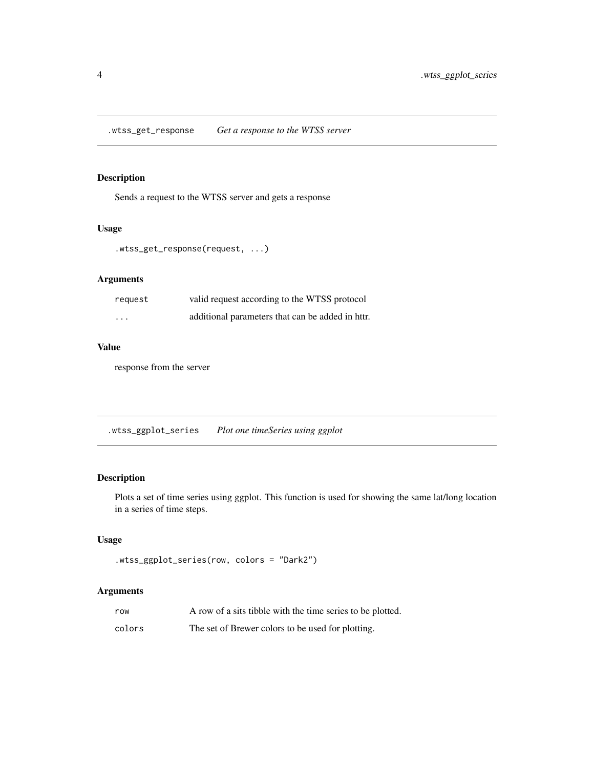<span id="page-3-0"></span>.wtss\_get\_response *Get a response to the WTSS server*

### Description

Sends a request to the WTSS server and gets a response

#### Usage

```
.wtss_get_response(request, ...)
```
#### Arguments

| request  | valid request according to the WTSS protocol     |
|----------|--------------------------------------------------|
| $\cdots$ | additional parameters that can be added in httr. |

#### Value

response from the server

.wtss\_ggplot\_series *Plot one timeSeries using ggplot*

### Description

Plots a set of time series using ggplot. This function is used for showing the same lat/long location in a series of time steps.

#### Usage

```
.wtss_ggplot_series(row, colors = "Dark2")
```
#### Arguments

| row    | A row of a sits tibble with the time series to be plotted. |
|--------|------------------------------------------------------------|
| colors | The set of Brewer colors to be used for plotting.          |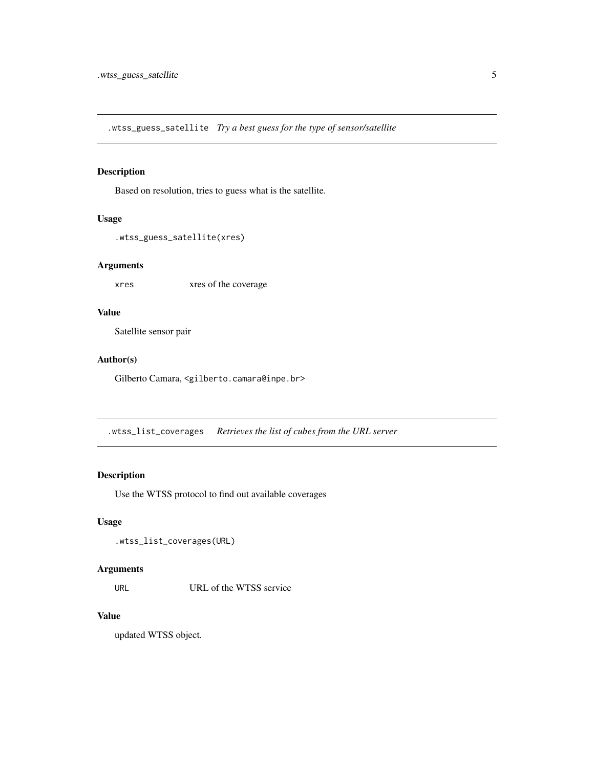<span id="page-4-0"></span>.wtss\_guess\_satellite *Try a best guess for the type of sensor/satellite*

#### Description

Based on resolution, tries to guess what is the satellite.

#### Usage

```
.wtss_guess_satellite(xres)
```
#### Arguments

xres xres of the coverage

#### Value

Satellite sensor pair

#### Author(s)

Gilberto Camara, <gilberto.camara@inpe.br>

.wtss\_list\_coverages *Retrieves the list of cubes from the URL server*

### Description

Use the WTSS protocol to find out available coverages

#### Usage

```
.wtss_list_coverages(URL)
```
#### Arguments

URL URL of the WTSS service

### Value

updated WTSS object.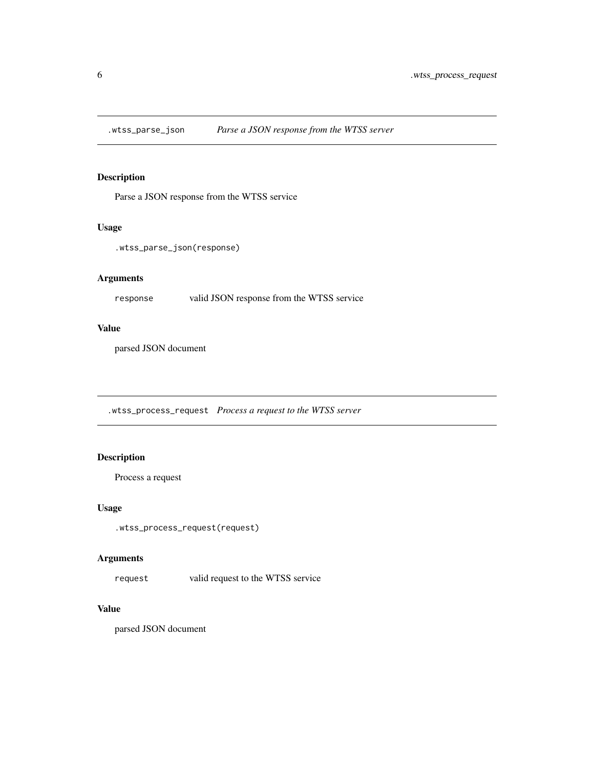<span id="page-5-0"></span>

Parse a JSON response from the WTSS service

#### Usage

```
.wtss_parse_json(response)
```
#### Arguments

response valid JSON response from the WTSS service

#### Value

parsed JSON document

.wtss\_process\_request *Process a request to the WTSS server*

#### Description

Process a request

#### Usage

.wtss\_process\_request(request)

#### Arguments

request valid request to the WTSS service

#### Value

parsed JSON document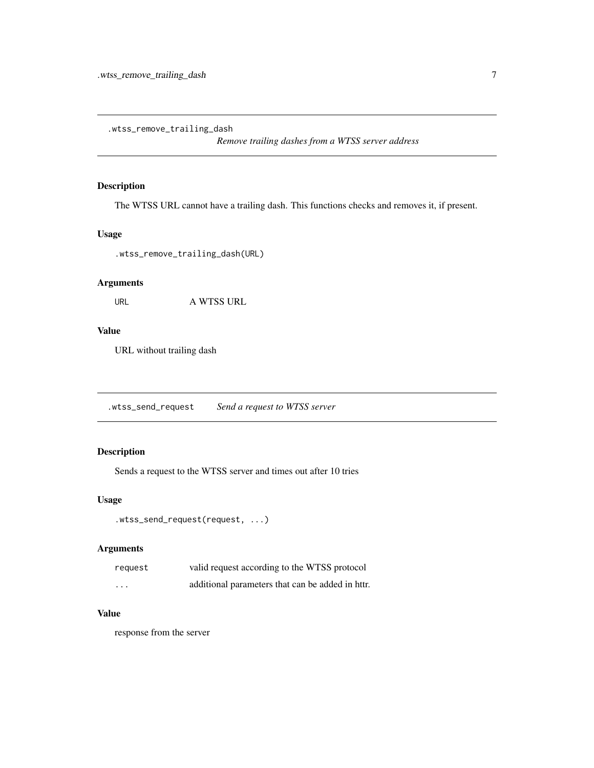<span id="page-6-0"></span>.wtss\_remove\_trailing\_dash

*Remove trailing dashes from a WTSS server address*

#### Description

The WTSS URL cannot have a trailing dash. This functions checks and removes it, if present.

#### Usage

.wtss\_remove\_trailing\_dash(URL)

#### Arguments

URL A WTSS URL

#### Value

URL without trailing dash

.wtss\_send\_request *Send a request to WTSS server*

#### Description

Sends a request to the WTSS server and times out after 10 tries

#### Usage

```
.wtss_send_request(request, ...)
```
#### Arguments

| request | valid request according to the WTSS protocol     |
|---------|--------------------------------------------------|
| .       | additional parameters that can be added in httr. |

#### Value

response from the server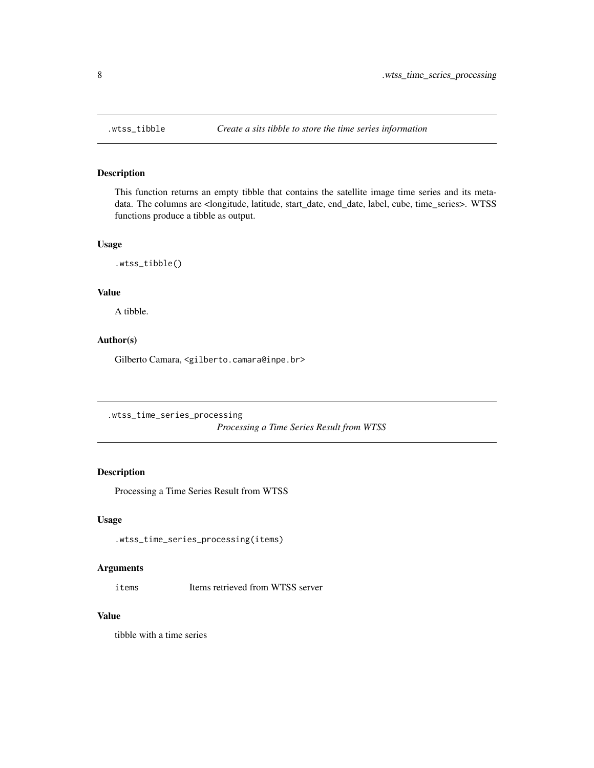<span id="page-7-0"></span>

This function returns an empty tibble that contains the satellite image time series and its metadata. The columns are <longitude, latitude, start\_date, end\_date, label, cube, time\_series>. WTSS functions produce a tibble as output.

#### Usage

.wtss\_tibble()

#### Value

A tibble.

#### Author(s)

Gilberto Camara, <gilberto.camara@inpe.br>

.wtss\_time\_series\_processing

*Processing a Time Series Result from WTSS*

#### Description

Processing a Time Series Result from WTSS

#### Usage

.wtss\_time\_series\_processing(items)

#### Arguments

items Items retrieved from WTSS server

#### Value

tibble with a time series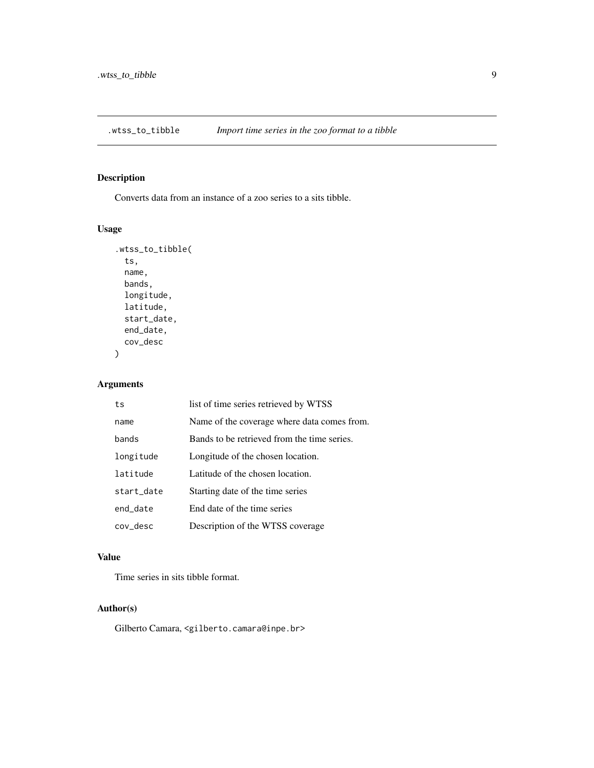<span id="page-8-0"></span>

Converts data from an instance of a zoo series to a sits tibble.

#### Usage

```
.wtss_to_tibble(
  ts,
 name,
 bands,
 longitude,
 latitude,
  start_date,
 end_date,
  cov_desc
\mathcal{E}
```
### Arguments

| ts         | list of time series retrieved by WTSS       |
|------------|---------------------------------------------|
| name       | Name of the coverage where data comes from. |
| bands      | Bands to be retrieved from the time series. |
| longitude  | Longitude of the chosen location.           |
| latitude   | Latitude of the chosen location.            |
| start_date | Starting date of the time series            |
| end_date   | End date of the time series                 |
| cov_desc   | Description of the WTSS coverage            |

#### Value

Time series in sits tibble format.

#### Author(s)

Gilberto Camara, <gilberto.camara@inpe.br>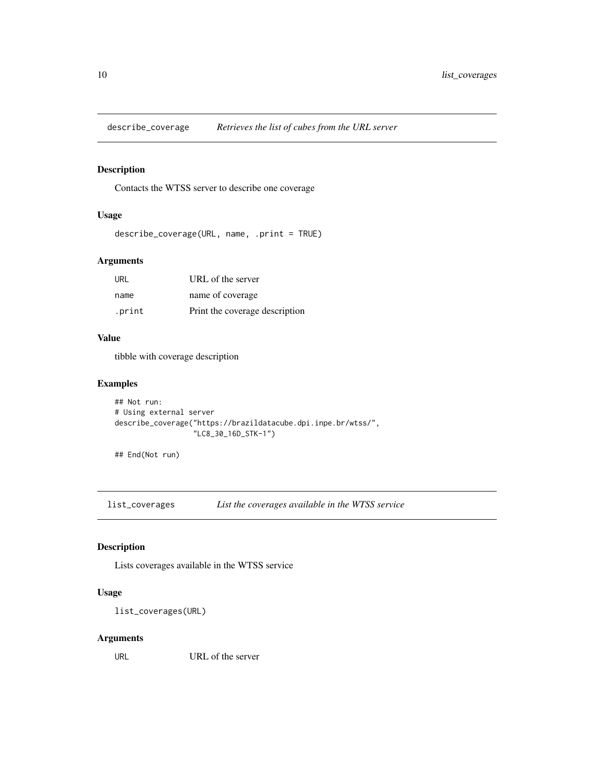<span id="page-9-0"></span>describe\_coverage *Retrieves the list of cubes from the URL server*

#### Description

Contacts the WTSS server to describe one coverage

#### Usage

```
describe_coverage(URL, name, .print = TRUE)
```
#### Arguments

| URL    | URL of the server              |
|--------|--------------------------------|
| name   | name of coverage               |
| .print | Print the coverage description |

#### Value

tibble with coverage description

#### Examples

```
## Not run:
# Using external server
describe_coverage("https://brazildatacube.dpi.inpe.br/wtss/",
                  "LC8_30_16D_STK-1")
```
## End(Not run)

list\_coverages *List the coverages available in the WTSS service*

#### Description

Lists coverages available in the WTSS service

#### Usage

list\_coverages(URL)

#### Arguments

URL URL of the server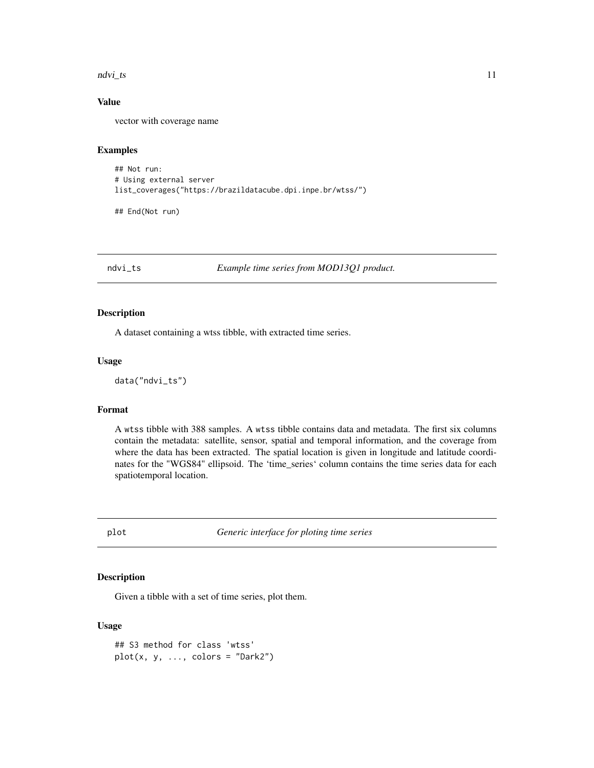<span id="page-10-0"></span>ndvi\_ts 11

#### Value

vector with coverage name

#### Examples

```
## Not run:
# Using external server
list_coverages("https://brazildatacube.dpi.inpe.br/wtss/")
```
## End(Not run)

ndvi\_ts *Example time series from MOD13Q1 product.*

#### Description

A dataset containing a wtss tibble, with extracted time series.

#### Usage

```
data("ndvi_ts")
```
#### Format

A wtss tibble with 388 samples. A wtss tibble contains data and metadata. The first six columns contain the metadata: satellite, sensor, spatial and temporal information, and the coverage from where the data has been extracted. The spatial location is given in longitude and latitude coordinates for the "WGS84" ellipsoid. The 'time\_series' column contains the time series data for each spatiotemporal location.

<span id="page-10-1"></span>plot *Generic interface for ploting time series*

#### Description

Given a tibble with a set of time series, plot them.

#### Usage

```
## S3 method for class 'wtss'
plot(x, y, ..., colors = "Dark2")
```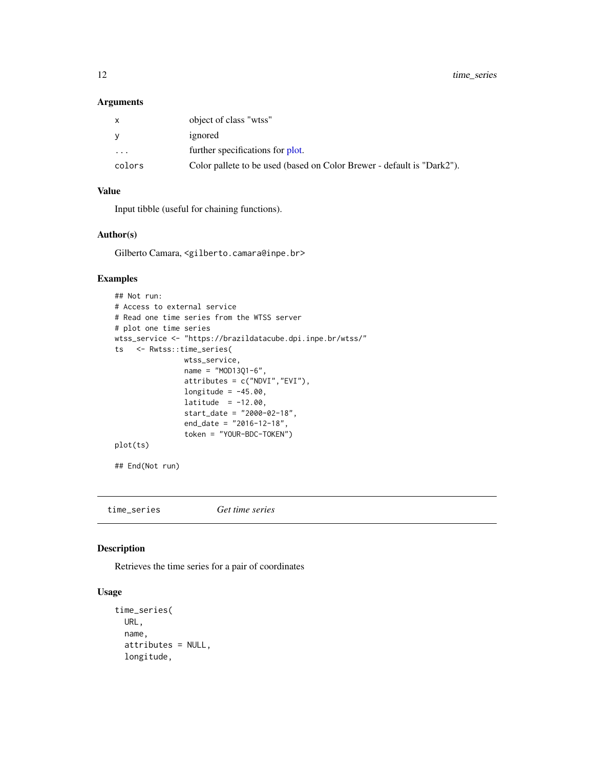<span id="page-11-0"></span>12 time\_series

#### Arguments

| X      | object of class "wtss"                                                 |
|--------|------------------------------------------------------------------------|
| y      | ignored                                                                |
| .      | further specifications for plot.                                       |
| colors | Color pallete to be used (based on Color Brewer - default is "Dark2"). |

#### Value

Input tibble (useful for chaining functions).

#### Author(s)

Gilberto Camara, <gilberto.camara@inpe.br>

#### Examples

```
## Not run:
# Access to external service
# Read one time series from the WTSS server
# plot one time series
wtss_service <- "https://brazildatacube.dpi.inpe.br/wtss/"
ts <- Rwtss::time_series(
               wtss_service,
               name = "MOD13Q1-6",attributes = c("NDVI","EVI"),
               longitude = -45.00,
               lattice = -12.00,start_date = "2000-02-18",
               end_date = "2016-12-18",
               token = "YOUR-BDC-TOKEN")
plot(ts)
## End(Not run)
```
time\_series *Get time series*

#### Description

Retrieves the time series for a pair of coordinates

#### Usage

```
time_series(
 URL,
  name,
  attributes = NULL,
  longitude,
```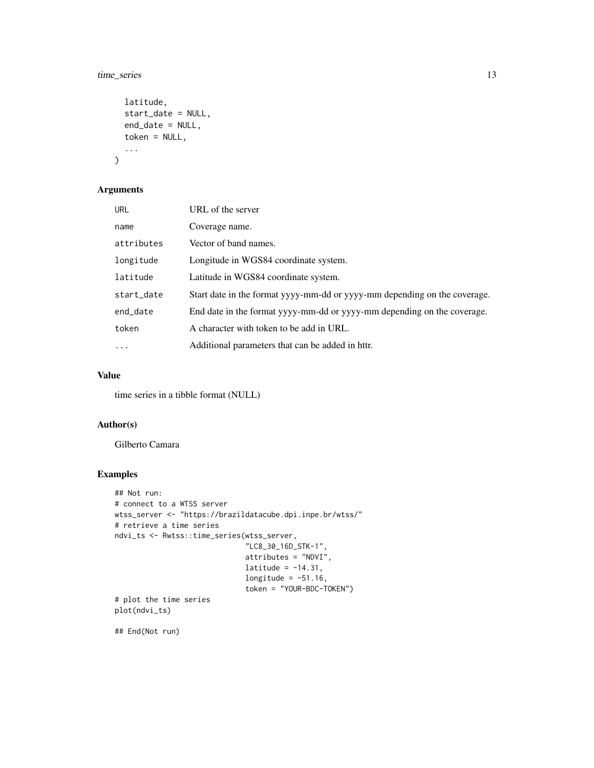#### time\_series 13

```
latitude,
  start_date = NULL,
  end_date = NULL,
  token = NULL,
  ...
\mathcal{L}
```
#### Arguments

| <b>URL</b> | URL of the server                                                         |
|------------|---------------------------------------------------------------------------|
| name       | Coverage name.                                                            |
| attributes | Vector of band names.                                                     |
| longitude  | Longitude in WGS84 coordinate system.                                     |
| latitude   | Latitude in WGS84 coordinate system.                                      |
| start_date | Start date in the format yyyy-mm-dd or yyyy-mm depending on the coverage. |
| end_date   | End date in the format yyyy-mm-dd or yyyy-mm depending on the coverage.   |
| token      | A character with token to be add in URL.                                  |
| $\cdot$    | Additional parameters that can be added in httr.                          |

#### Value

time series in a tibble format (NULL)

#### Author(s)

Gilberto Camara

#### Examples

```
## Not run:
# connect to a WTSS server
wtss_server <- "https://brazildatacube.dpi.inpe.br/wtss/"
# retrieve a time series
ndvi_ts <- Rwtss::time_series(wtss_server,
                              "LC8_30_16D_STK-1",
                              attributes = "NDVI",
                              latitude = -14.31,
                              longitude = -51.16,
                              token = "YOUR-BDC-TOKEN")
# plot the time series
plot(ndvi_ts)
```
## End(Not run)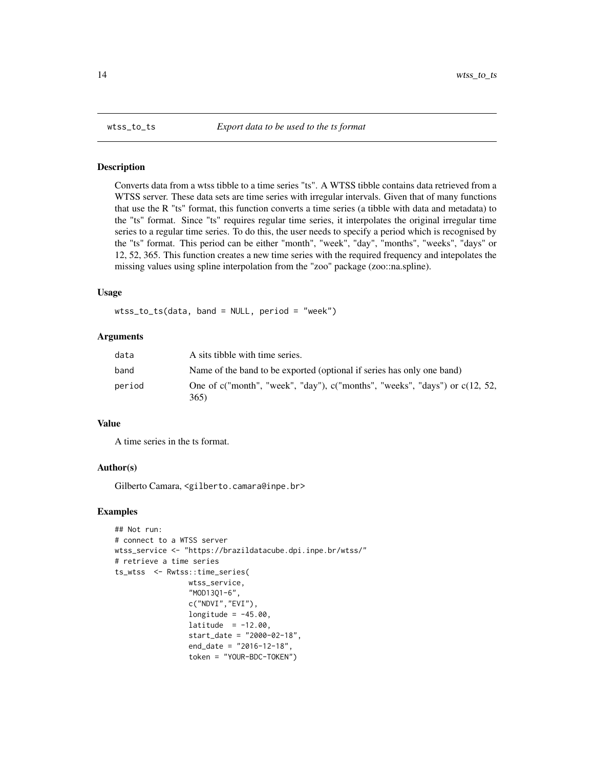<span id="page-13-0"></span>

Converts data from a wtss tibble to a time series "ts". A WTSS tibble contains data retrieved from a WTSS server. These data sets are time series with irregular intervals. Given that of many functions that use the R "ts" format, this function converts a time series (a tibble with data and metadata) to the "ts" format. Since "ts" requires regular time series, it interpolates the original irregular time series to a regular time series. To do this, the user needs to specify a period which is recognised by the "ts" format. This period can be either "month", "week", "day", "months", "weeks", "days" or 12, 52, 365. This function creates a new time series with the required frequency and intepolates the missing values using spline interpolation from the "zoo" package (zoo::na.spline).

#### Usage

wtss\_to\_ts(data, band = NULL, period = "week")

#### **Arguments**

| data   | A sits tibble with time series.                                                         |
|--------|-----------------------------------------------------------------------------------------|
| band   | Name of the band to be exported (optional if series has only one band)                  |
| period | One of c("month", "week", "day"), c("months", "weeks", "days") or $c(12, 52, )$<br>365) |

#### Value

A time series in the ts format.

#### Author(s)

Gilberto Camara, <gilberto.camara@inpe.br>

#### Examples

```
## Not run:
# connect to a WTSS server
wtss_service <- "https://brazildatacube.dpi.inpe.br/wtss/"
# retrieve a time series
ts_wtss <- Rwtss::time_series(
                 wtss_service,
                 "MOD13Q1-6",
                 c("NDVI","EVI"),
                 longitude = -45.00,
                 lattice = -12.00,start_date = "2000-02-18",
                 end_date = "2016-12-18",
                 token = "YOUR-BDC-TOKEN")
```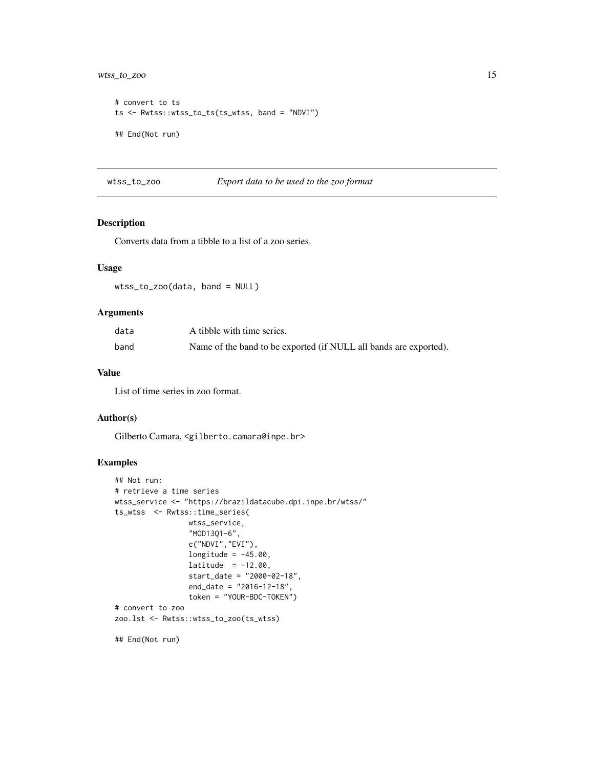### <span id="page-14-0"></span>wtss\_to\_zoo 15

```
# convert to ts
ts <- Rwtss::wtss_to_ts(ts_wtss, band = "NDVI")
## End(Not run)
```
#### wtss\_to\_zoo *Export data to be used to the zoo format*

#### Description

Converts data from a tibble to a list of a zoo series.

#### Usage

wtss\_to\_zoo(data, band = NULL)

#### Arguments

| data | A tibble with time series.                                        |
|------|-------------------------------------------------------------------|
| band | Name of the band to be exported (if NULL all bands are exported). |

#### Value

List of time series in zoo format.

#### Author(s)

Gilberto Camara, <gilberto.camara@inpe.br>

#### Examples

```
## Not run:
# retrieve a time series
wtss_service <- "https://brazildatacube.dpi.inpe.br/wtss/"
ts_wtss <- Rwtss::time_series(
                 wtss_service,
                 "MOD13Q1-6",
                 c("NDVI","EVI"),
                 longitude = -45.00,
                 lattice = -12.00,start_date = "2000-02-18",
                 end_date = "2016-12-18",
                 token = "YOUR-BDC-TOKEN")
# convert to zoo
zoo.lst <- Rwtss::wtss_to_zoo(ts_wtss)
```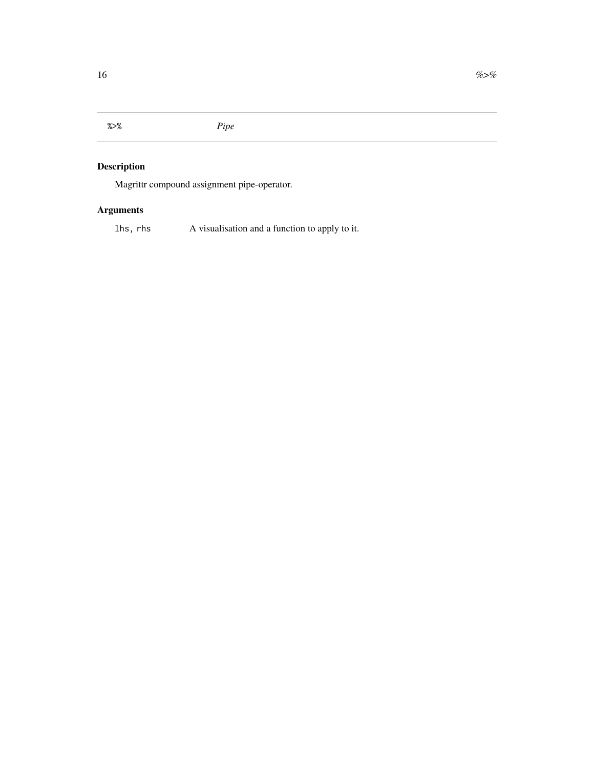<span id="page-15-0"></span>%>% *Pipe*

### Description

Magrittr compound assignment pipe-operator.

# Arguments

lhs, rhs A visualisation and a function to apply to it.